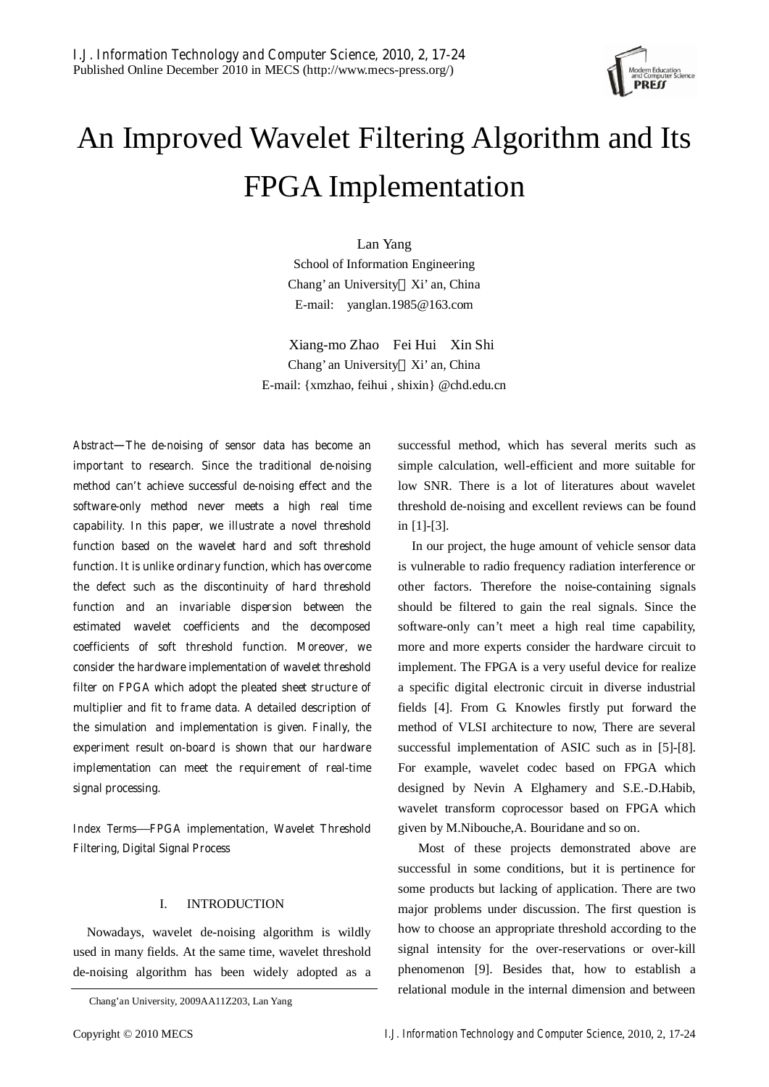

# An Improved Wavelet Filtering Algorithm and Its FPGA Implementation

Lan Yang School of Information Engineering Chang' an University Xi' an, China E-mail: yanglan.1985@163.com

 Xiang-mo Zhao Fei Hui Xin Shi Chang' an University Xi' an, China E-mail: {xmzhao, feihui , shixin} @chd.edu.cn

*Abstract*—**The de-noising of sensor data has become an important to research. Since the traditional de-noising method can't achieve successful de-noising effect and the software-only method never meets a high real time capability. In this paper, we illustrate a novel threshold function based on the wavelet hard and soft threshold function. It is unlike ordinary function, which has overcome the defect such as the discontinuity of hard threshold function and an invariable dispersion between the estimated wavelet coefficients and the decomposed coefficients of soft threshold function. Moreover, we consider the hardware implementation of wavelet threshold filter on FPGA which adopt the pleated sheet structure of multiplier and fit to frame data. A detailed description of the simulation and implementation is given. Finally, the experiment result on-board is shown that our hardware implementation can meet the requirement of real-time signal processing.** 

*Index Terms*—**FPGA implementation, Wavelet Threshold Filtering, Digital Signal Process** 

### I. INTRODUCTION

Nowadays, wavelet de-noising algorithm is wildly used in many fields. At the same time, wavelet threshold de-noising algorithm has been widely adopted as a successful method, which has several merits such as simple calculation, well-efficient and more suitable for low SNR. There is a lot of literatures about wavelet threshold de-noising and excellent reviews can be found in [1]-[3].

In our project, the huge amount of vehicle sensor data is vulnerable to radio frequency radiation interference or other factors. Therefore the noise-containing signals should be filtered to gain the real signals. Since the software-only can't meet a high real time capability, more and more experts consider the hardware circuit to implement. The FPGA is a very useful device for realize a specific digital electronic circuit in diverse industrial fields [4]. From G. Knowles firstly put forward the method of VLSI architecture to now, There are several successful implementation of ASIC such as in [5]-[8]. For example, wavelet codec based on FPGA which designed by Nevin A Elghamery and S.E.-D.Habib, wavelet transform coprocessor based on FPGA which given by M.Nibouche,A. Bouridane and so on.

 Most of these projects demonstrated above are successful in some conditions, but it is pertinence for some products but lacking of application. There are two major problems under discussion. The first question is how to choose an appropriate threshold according to the signal intensity for the over-reservations or over-kill phenomenon [9]. Besides that, how to establish a relational module in the internal dimension and between

Chang'an University, 2009AA11Z203, Lan Yang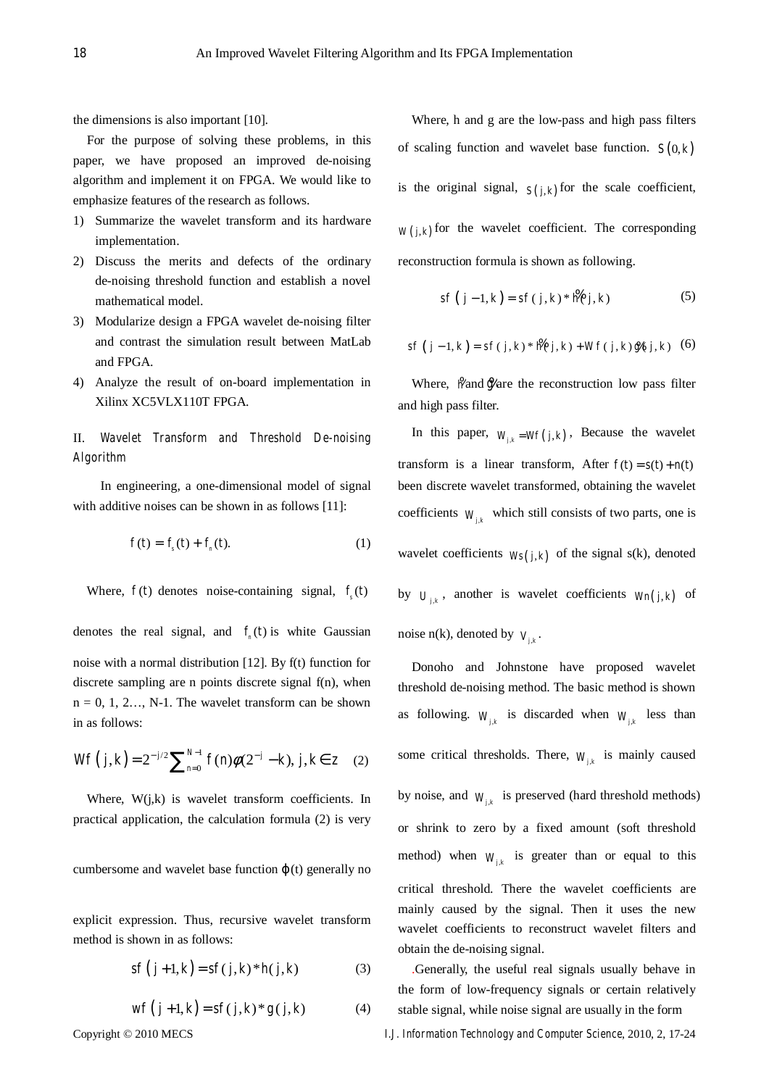the dimensions is also important [10].

For the purpose of solving these problems, in this paper, we have proposed an improved de-noising algorithm and implement it on FPGA. We would like to emphasize features of the research as follows.

- 1) Summarize the wavelet transform and its hardware implementation.
- 2) Discuss the merits and defects of the ordinary de-noising threshold function and establish a novel mathematical model.
- 3) Modularize design a FPGA wavelet de-noising filter and contrast the simulation result between MatLab and FPGA.
- 4) Analyze the result of on-board implementation in Xilinx XC5VLX110T FPGA.

# II. *Wavelet Transform and Threshold De-noising Algorithm*

 In engineering, a one-dimensional model of signal with additive noises can be shown in as follows [11]:

$$
f(t) = f_s(t) + f_n(t).
$$
 (1)

Where,  $f(t)$  denotes noise-containing signal,  $f<sub>s</sub>(t)$ 

denotes the real signal, and  $f_n(t)$  is white Gaussian noise with a normal distribution [12]. By f(t) function for discrete sampling are n points discrete signal f(n), when  $n = 0, 1, 2, \ldots$ , N-1. The wavelet transform can be shown in as follows:

$$
Wf(j,k) = 2^{-j/2} \sum_{n=0}^{N-1} f(n)\phi(2^{-j} - k), j, k \in \mathbb{Z}
$$
 (2)

Where,  $W(j,k)$  is wavelet transform coefficients. In practical application, the calculation formula (2) is very

cumbersome and wavelet base function (t) generally no

explicit expression. Thus, recursive wavelet transform method is shown in as follows:

$$
sf(j+1,k) = sf(j,k)*h(j,k)
$$
 (3)

$$
wf(j+1,k) = sf(j,k)*g(j,k)
$$
 (4)

Where, h and g are the low-pass and high pass filters of scaling function and wavelet base function.  $S(0, k)$ is the original signal,  $S(j,k)$  for the scale coefficient,  $W(j,k)$  for the wavelet coefficient. The corresponding reconstruction formula is shown as following.

$$
sf (j-1, k) = sf (j, k) * \mathcal{H}(j, k)
$$
 (5)

$$
sf(j-1,k) = sf(j,k) * \frac{m}{N(j,k)} + Wf(j,k) * g_{0j,k}
$$
 (6)

Where,  $\frac{M}{2}$  and  $\frac{M}{2}$  are the reconstruction low pass filter and high pass filter.

In this paper,  $W_{j,k} = Wf(j,k)$ , Because the wavelet transform is a linear transform, After  $f(t) = s(t) + n(t)$ been discrete wavelet transformed, obtaining the wavelet coefficients  $W_{ik}$ , which still consists of two parts, one is wavelet coefficients  $W_s(j,k)$  of the signal s(k), denoted by  $U_{ijk}$ , another is wavelet coefficients  $W_n(j,k)$  of

noise n(k), denoted by  $V_{ik}$ .

Donoho and Johnstone have proposed wavelet threshold de-noising method. The basic method is shown as following.  $W_{ik}$  is discarded when  $W_{ik}$  less than some critical thresholds. There,  $W_{ijk}$  is mainly caused by noise, and  $W_{ik}$  is preserved (hard threshold methods) or shrink to zero by a fixed amount (soft threshold method) when  $W_{ik}$  is greater than or equal to this critical threshold. There the wavelet coefficients are mainly caused by the signal. Then it uses the new wavelet coefficients to reconstruct wavelet filters and obtain the de-noising signal.

.Generally, the useful real signals usually behave in the form of low-frequency signals or certain relatively stable signal, while noise signal are usually in the form

Copyright © 2010 MECS *I.J. Information Technology and Computer Science*, 2010, 2, 17-24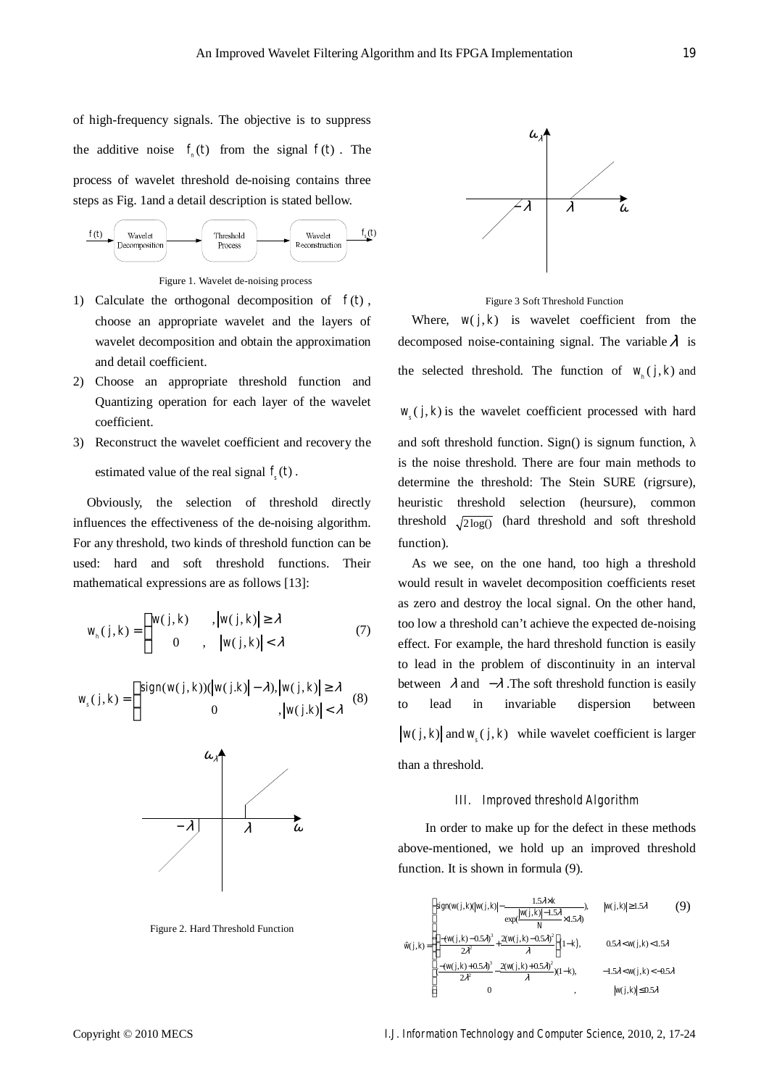function).

of high-frequency signals. The objective is to suppress the additive noise  $f_n(t)$  from the signal  $f(t)$ . The process of wavelet threshold de-noising contains three steps as Fig. 1and a detail description is stated bellow.



Figure 1. Wavelet de-noising process

- 1) Calculate the orthogonal decomposition of  $f(t)$ , choose an appropriate wavelet and the layers of wavelet decomposition and obtain the approximation and detail coefficient.
- 2) Choose an appropriate threshold function and Quantizing operation for each layer of the wavelet coefficient.
- 3) Reconstruct the wavelet coefficient and recovery the estimated value of the real signal  $f<sub>s</sub>(t)$ .

Obviously, the selection of threshold directly influences the effectiveness of the de-noising algorithm. For any threshold, two kinds of threshold function can be used: hard and soft threshold functions. Their mathematical expressions are as follows [13]:

$$
w_{h}(j,k) = \begin{cases} w(j,k) & , |w(j,k)| \geq \lambda \\ 0 & , |w(j,k)| < \lambda \end{cases}
$$
 (7)

$$
w_s(j,k) = \begin{cases} sign(w(j,k))(|w(j,k)| - \lambda), |w(j,k)| \ge \lambda \\ 0, |w(j.k)| < \lambda \end{cases}
$$
 (8)



Figure 2. Hard Threshold Function



Figure 3 Soft Threshold Function

Where,  $w(j, k)$  is wavelet coefficient from the decomposed noise-containing signal. The variable  $\lambda$  is the selected threshold. The function of  $w_{i}$  (*j, k*) and

 $w_{s}( j, k )$  is the wavelet coefficient processed with hard

and soft threshold function. Sign() is signum function, is the noise threshold. There are four main methods to determine the threshold: The Stein SURE (rigrsure), heuristic threshold selection (heursure), common threshold  $\sqrt{2\log()}$  (hard threshold and soft threshold

As we see, on the one hand, too high a threshold would result in wavelet decomposition coefficients reset as zero and destroy the local signal. On the other hand, too low a threshold can't achieve the expected de-noising effect. For example, the hard threshold function is easily to lead in the problem of discontinuity in an interval between  $\lambda$  and  $-\lambda$ . The soft threshold function is easily to lead in invariable dispersion between  $w(j, k)$  and  $w(j, k)$  while wavelet coefficient is larger than a threshold.

#### *III. Improved threshold Algorithm*

 In order to make up for the defect in these methods above-mentioned, we hold up an improved threshold function. It is shown in formula (9).

$$
\hat{w}(j,k) = \begin{cases}\n\text{sign}(w(j,k)|w(j,k)| - \frac{1.5\lambda \times k}{N}, & |w(j,k)| \ge 1.5\lambda \quad (9) \\
\text{exp}(\frac{|w(j,k)| - 1.5\lambda}{N} \times 1.5\lambda) & \\
\frac{-(w(j,k) - 0.5\lambda)^3}{2\lambda^2} + \frac{2(w(j,k) - 0.5\lambda)^2}{\lambda}\right]1 - k, & 0.5\lambda < w(j,k) < 1.5\lambda \\
\frac{-(w(j,k) + 0.5\lambda)^3}{2\lambda^2} - \frac{2(w(j,k) + 0.5\lambda)^2}{\lambda})(1 - k), & -1.5\lambda < w(j,k) < -0.5\lambda \\
0, & & |w(j,k)| \le 0.5\lambda\n\end{cases}
$$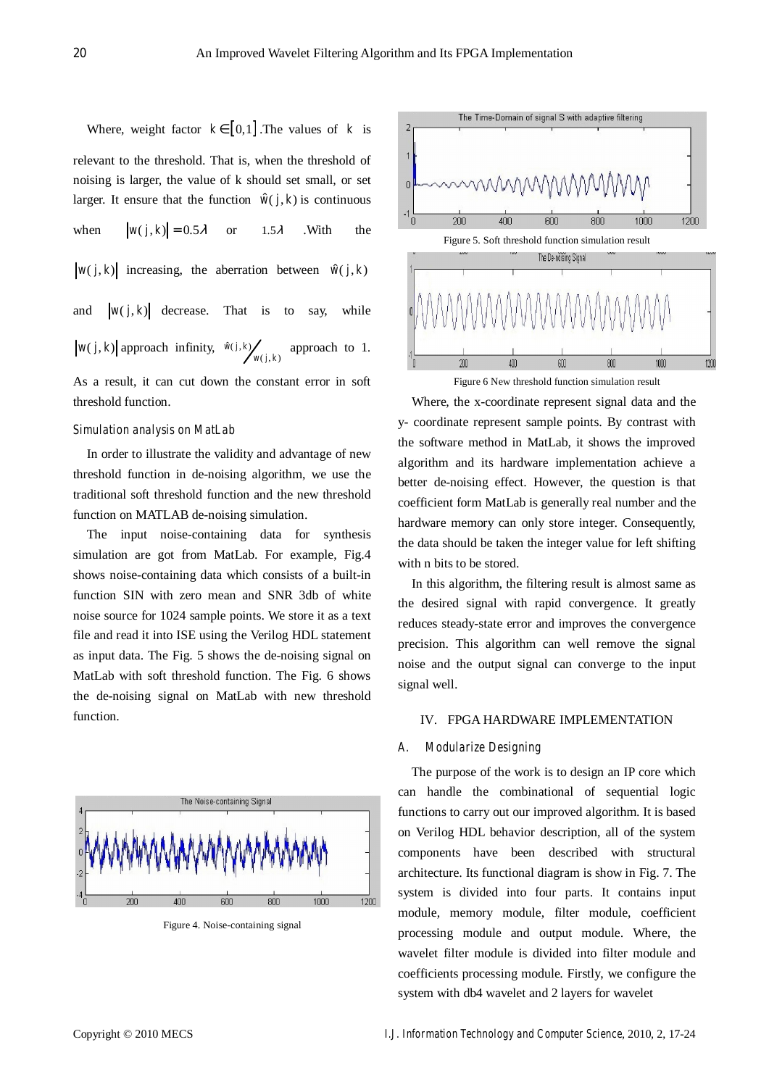Where, weight factor  $k \in [0,1]$ . The values of *k* is relevant to the threshold. That is, when the threshold of noising is larger, the value of k should set small, or set larger. It ensure that the function  $\hat{w}(j, k)$  is continuous when  $|w(j,k)| = 0.5\lambda$  or 1.5 $\lambda$  .With the

$$
w(j,k)
$$
 increasing, the aberration between  $\hat{w}(j,k)$ 

and  $|w(j, k)|$  decrease. That is to say, while  $w(j, k)$  approach infinity,  $\hat{w}(j, k)$   $w(j, k)$ *w j k* approach to 1.

As a result, it can cut down the constant error in soft threshold function.

### *Simulation analysis on MatLab*

In order to illustrate the validity and advantage of new threshold function in de-noising algorithm, we use the traditional soft threshold function and the new threshold function on MATLAB de-noising simulation.

The input noise-containing data for synthesis simulation are got from MatLab. For example, Fig.4 shows noise-containing data which consists of a built-in function SIN with zero mean and SNR 3db of white noise source for 1024 sample points. We store it as a text file and read it into ISE using the Verilog HDL statement as input data. The Fig. 5 shows the de-noising signal on MatLab with soft threshold function. The Fig. 6 shows the de-noising signal on MatLab with new threshold function.



Figure 4. Noise-containing signal



Figure 6 New threshold function simulation result

Where, the x-coordinate represent signal data and the y- coordinate represent sample points. By contrast with the software method in MatLab, it shows the improved algorithm and its hardware implementation achieve a better de-noising effect. However, the question is that coefficient form MatLab is generally real number and the hardware memory can only store integer. Consequently, the data should be taken the integer value for left shifting with n bits to be stored.

In this algorithm, the filtering result is almost same as the desired signal with rapid convergence. It greatly reduces steady-state error and improves the convergence precision. This algorithm can well remove the signal noise and the output signal can converge to the input signal well.

#### IV. FPGA HARDWARE IMPLEMENTATION

#### *A. Modularize Designing*

The purpose of the work is to design an IP core which can handle the combinational of sequential logic functions to carry out our improved algorithm. It is based on Verilog HDL behavior description, all of the system components have been described with structural architecture. Its functional diagram is show in Fig. 7. The system is divided into four parts. It contains input module, memory module, filter module, coefficient processing module and output module. Where, the wavelet filter module is divided into filter module and coefficients processing module. Firstly, we configure the system with db4 wavelet and 2 layers for wavelet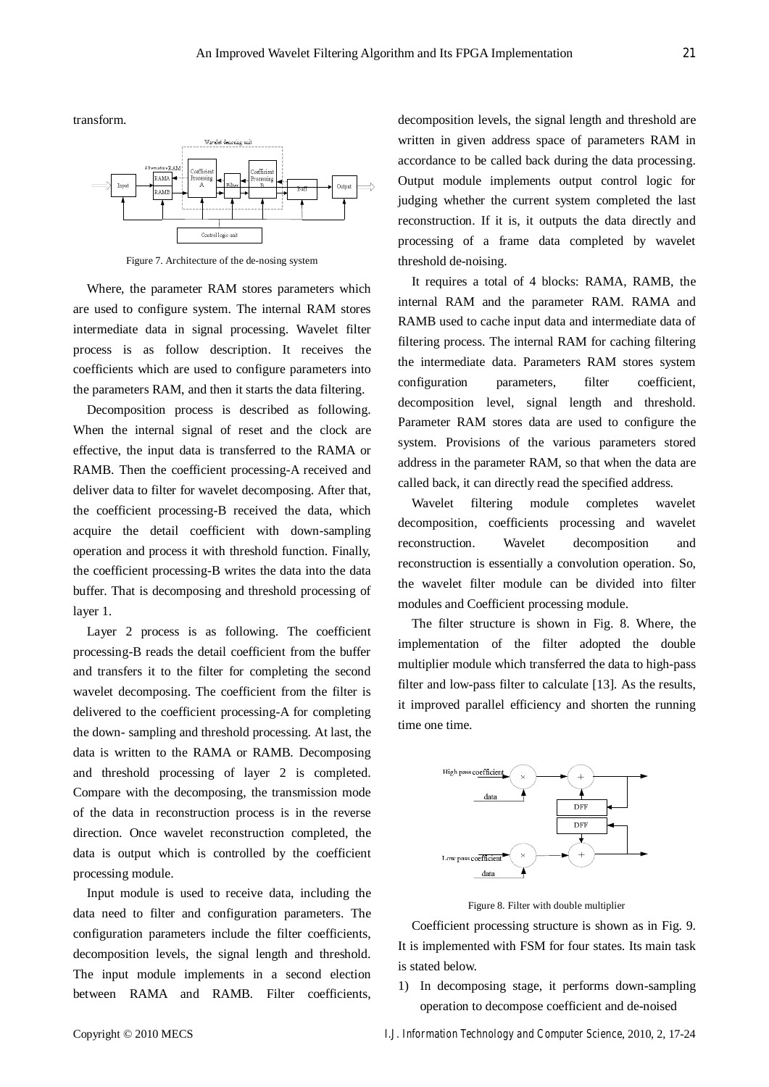transform.



Figure 7. Architecture of the de-nosing system

Where, the parameter RAM stores parameters which are used to configure system. The internal RAM stores intermediate data in signal processing. Wavelet filter process is as follow description. It receives the coefficients which are used to configure parameters into the parameters RAM, and then it starts the data filtering.

Decomposition process is described as following. When the internal signal of reset and the clock are effective, the input data is transferred to the RAMA or RAMB. Then the coefficient processing-A received and deliver data to filter for wavelet decomposing. After that, the coefficient processing-B received the data, which acquire the detail coefficient with down-sampling operation and process it with threshold function. Finally, the coefficient processing-B writes the data into the data buffer. That is decomposing and threshold processing of layer 1.

Layer 2 process is as following. The coefficient processing-B reads the detail coefficient from the buffer and transfers it to the filter for completing the second wavelet decomposing. The coefficient from the filter is delivered to the coefficient processing-A for completing the down- sampling and threshold processing. At last, the data is written to the RAMA or RAMB. Decomposing and threshold processing of layer 2 is completed. Compare with the decomposing, the transmission mode of the data in reconstruction process is in the reverse direction. Once wavelet reconstruction completed, the data is output which is controlled by the coefficient processing module.

Input module is used to receive data, including the data need to filter and configuration parameters. The configuration parameters include the filter coefficients, decomposition levels, the signal length and threshold. The input module implements in a second election between RAMA and RAMB. Filter coefficients, decomposition levels, the signal length and threshold are written in given address space of parameters RAM in accordance to be called back during the data processing. Output module implements output control logic for judging whether the current system completed the last reconstruction. If it is, it outputs the data directly and processing of a frame data completed by wavelet threshold de-noising.

It requires a total of 4 blocks: RAMA, RAMB, the internal RAM and the parameter RAM. RAMA and RAMB used to cache input data and intermediate data of filtering process. The internal RAM for caching filtering the intermediate data. Parameters RAM stores system configuration parameters, filter coefficient, decomposition level, signal length and threshold. Parameter RAM stores data are used to configure the system. Provisions of the various parameters stored address in the parameter RAM, so that when the data are called back, it can directly read the specified address.

Wavelet filtering module completes wavelet decomposition, coefficients processing and wavelet reconstruction. Wavelet decomposition and reconstruction is essentially a convolution operation. So, the wavelet filter module can be divided into filter modules and Coefficient processing module.

The filter structure is shown in Fig. 8. Where, the implementation of the filter adopted the double multiplier module which transferred the data to high-pass filter and low-pass filter to calculate [13]. As the results, it improved parallel efficiency and shorten the running time one time.



Figure 8. Filter with double multiplier

Coefficient processing structure is shown as in Fig. 9. It is implemented with FSM for four states. Its main task is stated below.

1) In decomposing stage, it performs down-sampling operation to decompose coefficient and de-noised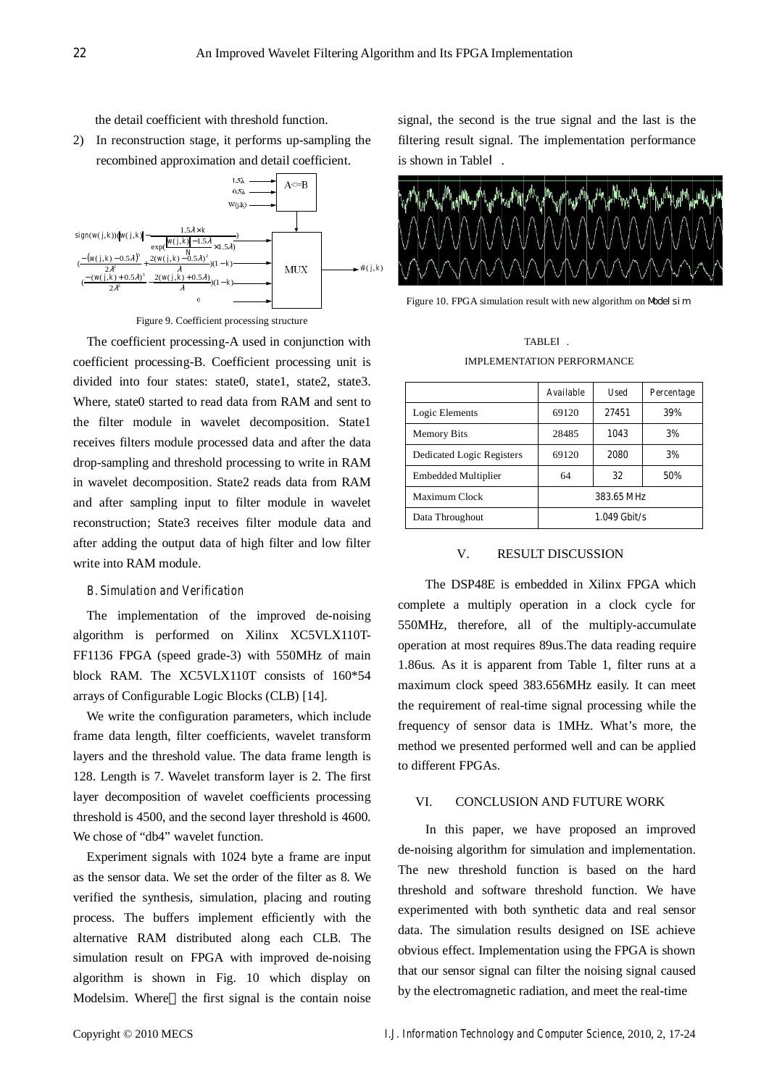the detail coefficient with threshold function.

2) In reconstruction stage, it performs up-sampling the recombined approximation and detail coefficient.



Figure 9. Coefficient processing structure

The coefficient processing-A used in conjunction with coefficient processing-B. Coefficient processing unit is divided into four states: state0, state1, state2, state3. Where, state0 started to read data from RAM and sent to the filter module in wavelet decomposition. State1 receives filters module processed data and after the data drop-sampling and threshold processing to write in RAM in wavelet decomposition. State2 reads data from RAM and after sampling input to filter module in wavelet reconstruction; State3 receives filter module data and after adding the output data of high filter and low filter write into RAM module.

# *B. Simulation and Verification*

The implementation of the improved de-noising algorithm is performed on Xilinx XC5VLX110T-FF1136 FPGA (speed grade-3) with 550MHz of main block RAM. The XC5VLX110T consists of 160\*54 arrays of Configurable Logic Blocks (CLB) [14].

We write the configuration parameters, which include frame data length, filter coefficients, wavelet transform layers and the threshold value. The data frame length is 128. Length is 7. Wavelet transform layer is 2. The first layer decomposition of wavelet coefficients processing threshold is 4500, and the second layer threshold is 4600. We chose of "db4" wavelet function.

Experiment signals with 1024 byte a frame are input as the sensor data. We set the order of the filter as 8. We verified the synthesis, simulation, placing and routing process. The buffers implement efficiently with the alternative RAM distributed along each CLB. The simulation result on FPGA with improved de-noising algorithm is shown in Fig. 10 which display on Modelsim. Where the first signal is the contain noise signal, the second is the true signal and the last is the filtering result signal. The implementation performance is shown in Table



Figure 10. FPGA simulation result with new algorithm on Model sim

# TABLE . IMPLEMENTATION PERFORMANCE

|                           | Available      | <b>Used</b> | Percentage |
|---------------------------|----------------|-------------|------------|
| Logic Elements            | 69120          | 27451       | 39%        |
| <b>Memory Bits</b>        | 28485          | 1043        | 3%         |
| Dedicated Logic Registers | 69120          | 2080        | 3%         |
| Embedded Multiplier       | 64             | 32          | 50%        |
| Maximum Clock             | 383.65 MHz     |             |            |
| Data Throughout           | $1.049$ Gbit/s |             |            |

# V. RESULT DISCUSSION

 The DSP48E is embedded in Xilinx FPGA which complete a multiply operation in a clock cycle for 550MHz, therefore, all of the multiply-accumulate operation at most requires 89us.The data reading require 1.86us. As it is apparent from Table 1, filter runs at a maximum clock speed 383.656MHz easily. It can meet the requirement of real-time signal processing while the frequency of sensor data is 1MHz. What's more, the method we presented performed well and can be applied to different FPGAs.

# VI. CONCLUSION AND FUTURE WORK

 In this paper, we have proposed an improved de-noising algorithm for simulation and implementation. The new threshold function is based on the hard threshold and software threshold function. We have experimented with both synthetic data and real sensor data. The simulation results designed on ISE achieve obvious effect. Implementation using the FPGA is shown that our sensor signal can filter the noising signal caused by the electromagnetic radiation, and meet the real-time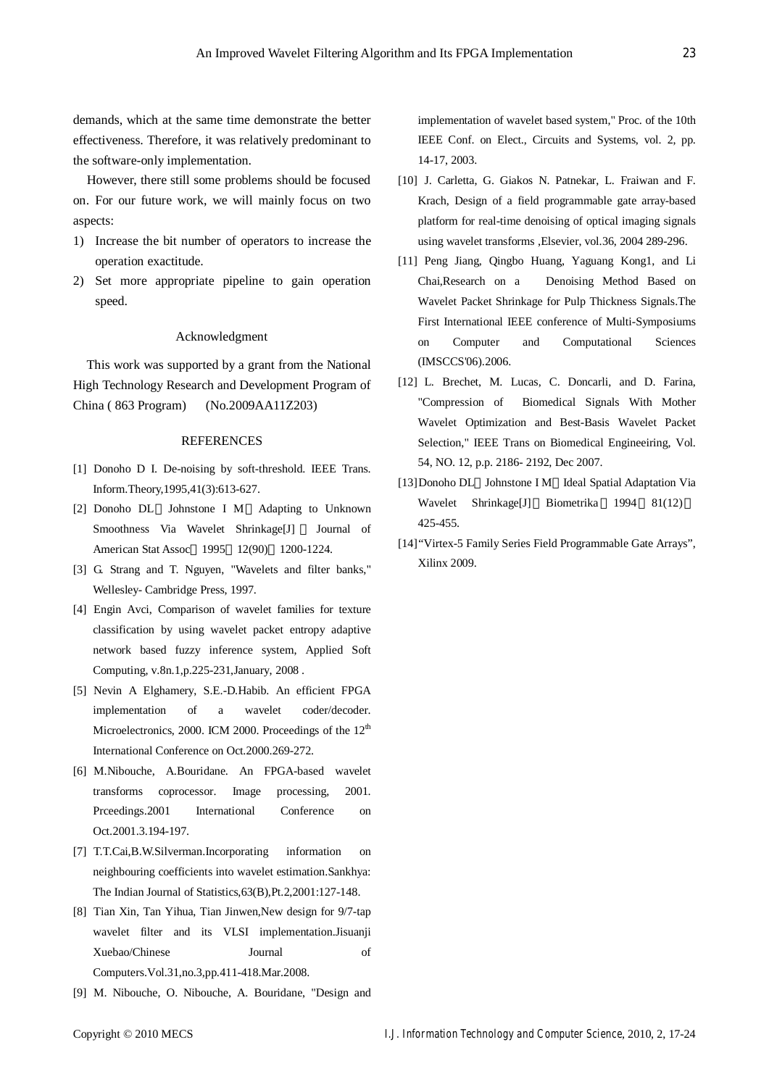demands, which at the same time demonstrate the better effectiveness. Therefore, it was relatively predominant to the software-only implementation.

However, there still some problems should be focused on. For our future work, we will mainly focus on two aspects:

- 1) Increase the bit number of operators to increase the operation exactitude.
- 2) Set more appropriate pipeline to gain operation speed.

# Acknowledgment

This work was supported by a grant from the National High Technology Research and Development Program of China ( 863 Program) (No.2009AA11Z203)

#### REFERENCES

- [1] Donoho D I. De-noising by soft-threshold. IEEE Trans. Inform.Theory,1995,41(3):613-627.
- [2] Donoho DL Johnstone I M Adapting to Unknown Smoothness Via Wavelet Shrinkage[J] Journal of American Stat Assoc 1995 12(90) 1200-1224.
- [3] G. Strang and T. Nguyen, "Wavelets and filter banks," Wellesley- Cambridge Press, 1997.
- [4] Engin Avci, Comparison of wavelet families for texture classification by using wavelet packet entropy adaptive network based fuzzy inference system, Applied Soft Computing, v.8n.1,p.225-231,January, 2008 .
- [5] Nevin A Elghamery, S.E.-D.Habib. An efficient FPGA implementation of a wavelet coder/decoder. Microelectronics, 2000. ICM 2000. Proceedings of the  $12<sup>th</sup>$ International Conference on Oct.2000.269-272.
- [6] M.Nibouche, A.Bouridane. An FPGA-based wavelet transforms coprocessor. Image processing, 2001. Prceedings.2001 International Conference on Oct.2001.3.194-197.
- [7] T.T.Cai,B.W.Silverman.Incorporating information on neighbouring coefficients into wavelet estimation.Sankhya: The Indian Journal of Statistics,63(B),Pt.2,2001:127-148.
- [8] Tian Xin, Tan Yihua, Tian Jinwen,New design for 9/7-tap wavelet filter and its VLSI implementation.Jisuanji Xuebao/Chinese Journal of Computers.Vol.31,no.3,pp.411-418.Mar.2008.
- [9] M. Nibouche, O. Nibouche, A. Bouridane, "Design and

implementation of wavelet based system," Proc. of the 10th IEEE Conf. on Elect., Circuits and Systems, vol. 2, pp. 14-17, 2003.

- [10] J. Carletta, G. Giakos N. Patnekar, L. Fraiwan and F. Krach, Design of a field programmable gate array-based platform for real-time denoising of optical imaging signals using wavelet transforms ,Elsevier, vol.36, 2004 289-296.
- [11] Peng Jiang, Qingbo Huang, Yaguang Kong1, and Li Chai,Research on a Denoising Method Based on Wavelet Packet Shrinkage for Pulp Thickness Signals.The First International IEEE conference of Multi-Symposiums on Computer and Computational Sciences (IMSCCS'06).2006.
- [12] L. Brechet, M. Lucas, C. Doncarli, and D. Farina, "Compression of Biomedical Signals With Mother Wavelet Optimization and Best-Basis Wavelet Packet Selection," IEEE Trans on Biomedical Engineeiring, Vol. 54, NO. 12, p.p. 2186- 2192, Dec 2007.
- [13]Donoho DL Johnstone I M Ideal Spatial Adaptation Via Wavelet Shrinkage[J] Biometrika 1994 81(12) 425-455.
- [14]"Virtex-5 Family Series Field Programmable Gate Arrays", Xilinx 2009.